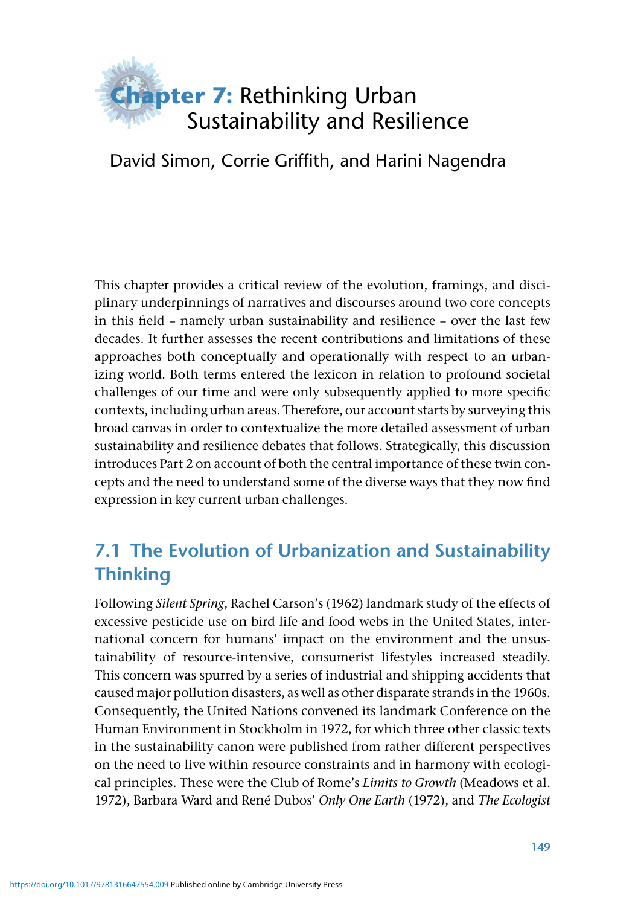

#### David Simon, Corrie Griffith, and Harini Nagendra

 This chapter provides a critical review of the evolution, framings, and disciplinary underpinnings of narratives and discourses around two core concepts in this field – namely urban sustainability and resilience – over the last few decades. It further assesses the recent contributions and limitations of these approaches both conceptually and operationally with respect to an urbanizing world. Both terms entered the lexicon in relation to profound societal challenges of our time and were only subsequently applied to more specific contexts, including urban areas. Therefore, our account starts by surveying this broad canvas in order to contextualize the more detailed assessment of urban sustainability and resilience debates that follows. Strategically, this discussion introduces Part 2 on account of both the central importance of these twin concepts and the need to understand some of the diverse ways that they now find expression in key current urban challenges.

# **7.1 The Evolution of Urbanization and Sustainability Thinking**

Following *Silent Spring*, Rachel Carson's (1962) landmark study of the effects of excessive pesticide use on bird life and food webs in the United States, international concern for humans' impact on the environment and the unsustainability of resource-intensive, consumerist lifestyles increased steadily. This concern was spurred by a series of industrial and shipping accidents that caused major pollution disasters, as well as other disparate strands in the 1960s. Consequently, the United Nations convened its landmark Conference on the Human Environment in Stockholm in 1972, for which three other classic texts in the sustainability canon were published from rather different perspectives on the need to live within resource constraints and in harmony with ecological principles. These were the Club of Rome's *Limits to Growth* (Meadows et al. 1972 ), Barbara Ward and René Dubos' *Only One Earth* ( 1972 ), and *The Ecologist*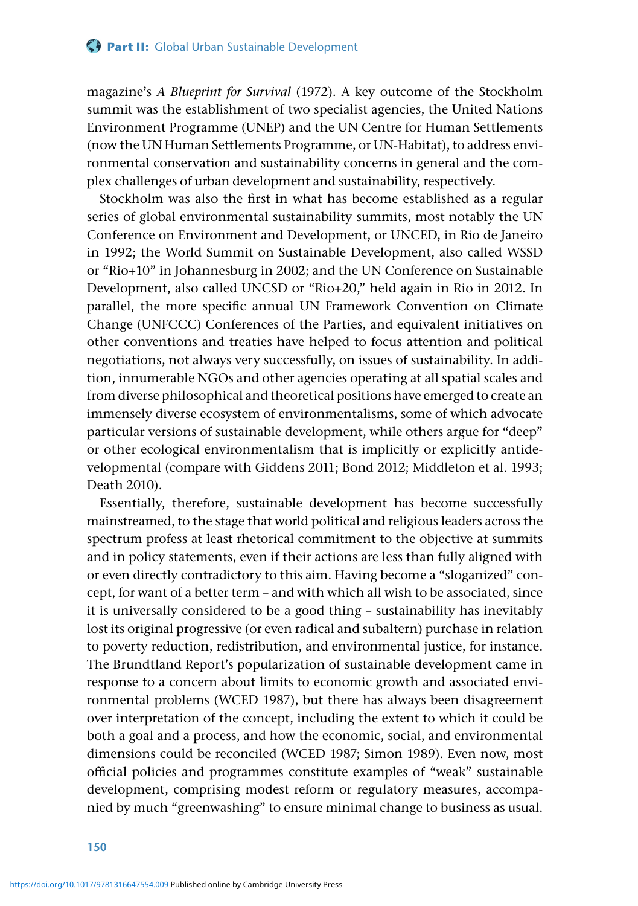magazine's *A Blueprint for Survival* (1972). A key outcome of the Stockholm summit was the establishment of two specialist agencies, the United Nations Environment Programme (UNEP) and the UN Centre for Human Settlements (now the UN Human Settlements Programme, or UN-Habitat), to address environmental conservation and sustainability concerns in general and the complex challenges of urban development and sustainability, respectively.

Stockholm was also the first in what has become established as a regular series of global environmental sustainability summits, most notably the UN Conference on Environment and Development, or UNCED, in Rio de Janeiro in 1992; the World Summit on Sustainable Development, also called WSSD or "Rio+10" in Johannesburg in 2002; and the UN Conference on Sustainable Development, also called UNCSD or "Rio+20," held again in Rio in 2012. In parallel, the more specific annual UN Framework Convention on Climate Change (UNFCCC) Conferences of the Parties, and equivalent initiatives on other conventions and treaties have helped to focus attention and political negotiations, not always very successfully, on issues of sustainability. In addition, innumerable NGOs and other agencies operating at all spatial scales and from diverse philosophical and theoretical positions have emerged to create an immensely diverse ecosystem of environmentalisms, some of which advocate particular versions of sustainable development, while others argue for "deep" or other ecological environmentalism that is implicitly or explicitly antidevelopmental (compare with Giddens 2011; Bond 2012; Middleton et al. 1993; Death 2010).

Essentially, therefore, sustainable development has become successfully mainstreamed, to the stage that world political and religious leaders across the spectrum profess at least rhetorical commitment to the objective at summits and in policy statements, even if their actions are less than fully aligned with or even directly contradictory to this aim. Having become a "sloganized" concept, for want of a better term – and with which all wish to be associated, since it is universally considered to be a good thing – sustainability has inevitably lost its original progressive (or even radical and subaltern) purchase in relation to poverty reduction, redistribution, and environmental justice, for instance. The Brundtland Report's popularization of sustainable development came in response to a concern about limits to economic growth and associated environmental problems (WCED 1987), but there has always been disagreement over interpretation of the concept, including the extent to which it could be both a goal and a process, and how the economic, social, and environmental dimensions could be reconciled (WCED 1987; Simon 1989). Even now, most official policies and programmes constitute examples of "weak" sustainable development, comprising modest reform or regulatory measures, accompanied by much "greenwashing" to ensure minimal change to business as usual.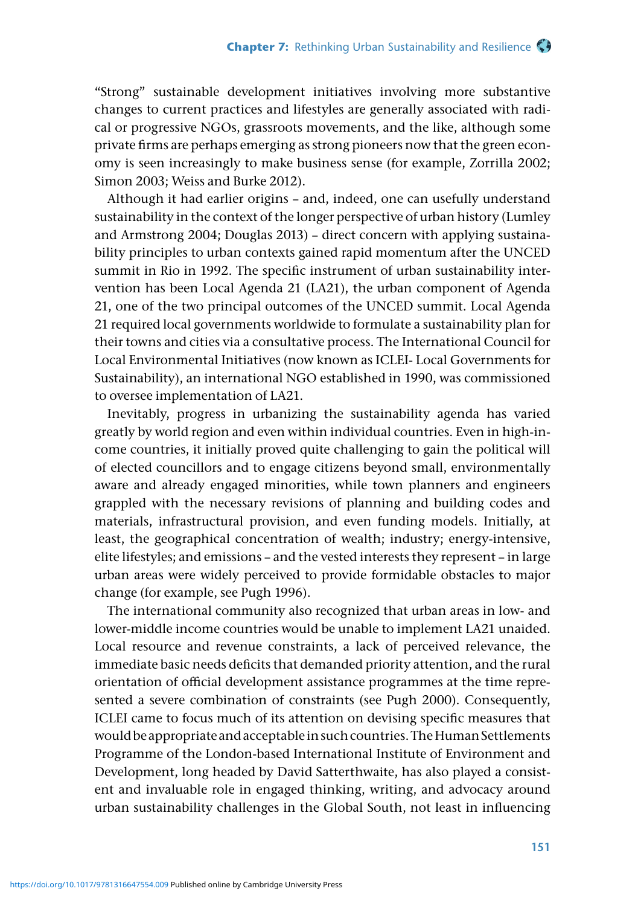"Strong" sustainable development initiatives involving more substantive changes to current practices and lifestyles are generally associated with radical or progressive NGOs, grassroots movements, and the like, although some private firms are perhaps emerging as strong pioneers now that the green economy is seen increasingly to make business sense (for example, Zorrilla 2002; Simon 2003; Weiss and Burke 2012).

Although it had earlier origins – and, indeed, one can usefully understand sustainability in the context of the longer perspective of urban history (Lumley and Armstrong 2004; Douglas 2013) – direct concern with applying sustainability principles to urban contexts gained rapid momentum after the UNCED summit in Rio in 1992. The specific instrument of urban sustainability intervention has been Local Agenda 21 (LA21), the urban component of Agenda 21, one of the two principal outcomes of the UNCED summit. Local Agenda 21 required local governments worldwide to formulate a sustainability plan for their towns and cities via a consultative process. The International Council for Local Environmental Initiatives (now known as ICLEI- Local Governments for Sustainability), an international NGO established in 1990, was commissioned to oversee implementation of LA21.

Inevitably, progress in urbanizing the sustainability agenda has varied greatly by world region and even within individual countries. Even in high-income countries, it initially proved quite challenging to gain the political will of elected councillors and to engage citizens beyond small, environmentally aware and already engaged minorities, while town planners and engineers grappled with the necessary revisions of planning and building codes and materials, infrastructural provision, and even funding models. Initially, at least, the geographical concentration of wealth; industry; energy-intensive, elite lifestyles; and emissions – and the vested interests they represent – in large urban areas were widely perceived to provide formidable obstacles to major change (for example, see Pugh 1996).

The international community also recognized that urban areas in low- and lower-middle income countries would be unable to implement LA21 unaided. Local resource and revenue constraints, a lack of perceived relevance, the immediate basic needs deficits that demanded priority attention, and the rural orientation of official development assistance programmes at the time represented a severe combination of constraints (see Pugh 2000). Consequently, ICLEI came to focus much of its attention on devising specific measures that would be appropriate and acceptable in such countries. The Human Settlements Programme of the London-based International Institute of Environment and Development, long headed by David Satterthwaite, has also played a consistent and invaluable role in engaged thinking, writing, and advocacy around urban sustainability challenges in the Global South, not least in influencing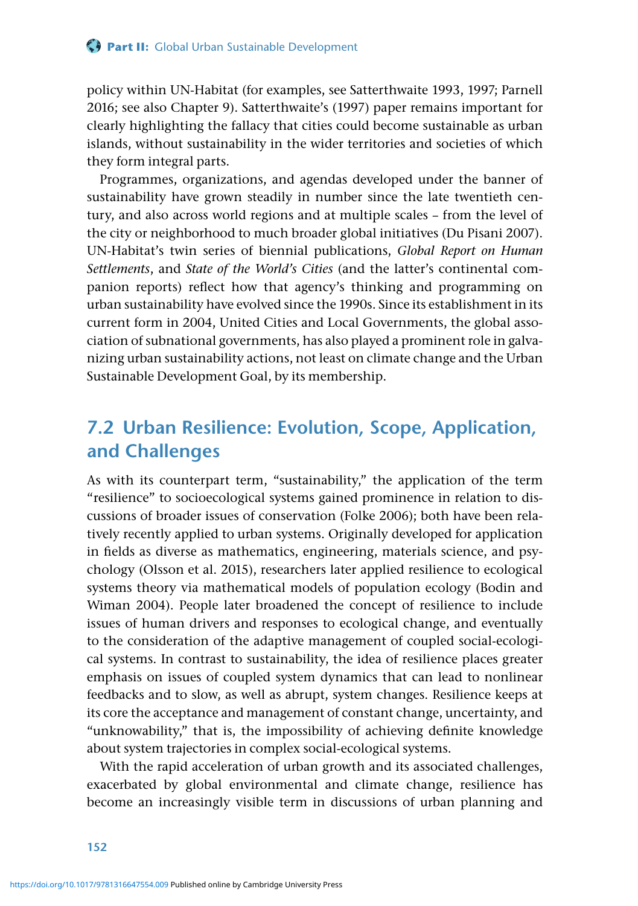policy within UN-Habitat (for examples, see Satterthwaite 1993, 1997; Parnell 2016; see also Chapter 9). Satterthwaite's (1997) paper remains important for clearly highlighting the fallacy that cities could become sustainable as urban islands, without sustainability in the wider territories and societies of which they form integral parts.

Programmes, organizations, and agendas developed under the banner of sustainability have grown steadily in number since the late twentieth century, and also across world regions and at multiple scales – from the level of the city or neighborhood to much broader global initiatives (Du Pisani 2007). UN-Habitat's twin series of biennial publications, *Global Report on Human Settlements*, and *State of the World's Cities* (and the latter's continental companion reports) reflect how that agency's thinking and programming on urban sustainability have evolved since the 1990s. Since its establishment in its current form in 2004, United Cities and Local Governments, the global association of subnational governments, has also played a prominent role in galvanizing urban sustainability actions, not least on climate change and the Urban Sustainable Development Goal, by its membership.

### **7.2 Urban Resilience: Evolution, Scope, Application, and Challenges**

As with its counterpart term, "sustainability," the application of the term "resilience" to socioecological systems gained prominence in relation to discussions of broader issues of conservation (Folke 2006); both have been relatively recently applied to urban systems. Originally developed for application in fields as diverse as mathematics, engineering, materials science, and psychology (Olsson et al. 2015), researchers later applied resilience to ecological systems theory via mathematical models of population ecology (Bodin and Wiman 2004). People later broadened the concept of resilience to include issues of human drivers and responses to ecological change, and eventually to the consideration of the adaptive management of coupled social-ecological systems. In contrast to sustainability, the idea of resilience places greater emphasis on issues of coupled system dynamics that can lead to nonlinear feedbacks and to slow, as well as abrupt, system changes. Resilience keeps at its core the acceptance and management of constant change, uncertainty, and "unknowability," that is, the impossibility of achieving definite knowledge about system trajectories in complex social-ecological systems.

With the rapid acceleration of urban growth and its associated challenges, exacerbated by global environmental and climate change, resilience has become an increasingly visible term in discussions of urban planning and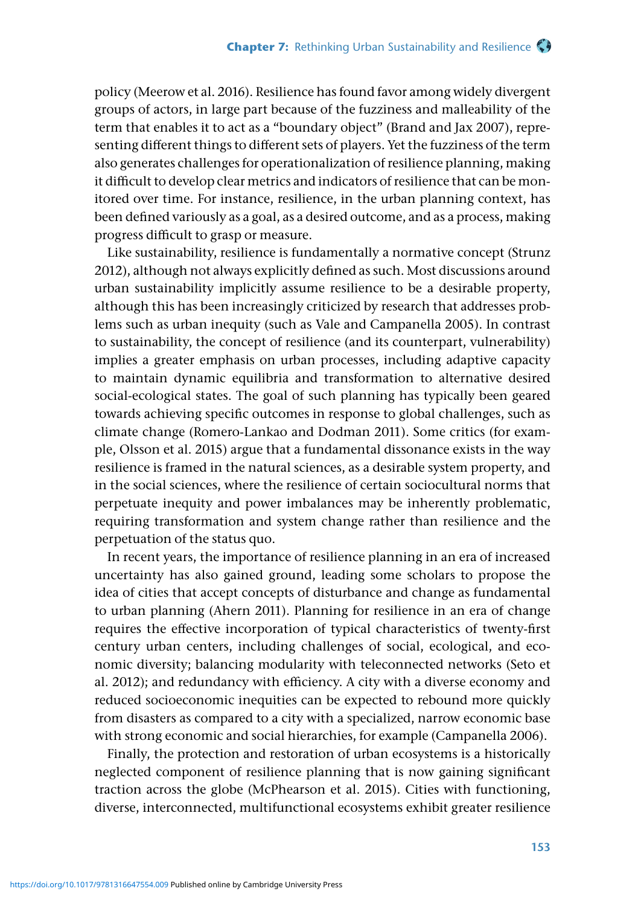policy (Meerow et al. 2016). Resilience has found favor among widely divergent groups of actors, in large part because of the fuzziness and malleability of the term that enables it to act as a "boundary object" (Brand and Jax 2007), representing different things to different sets of players. Yet the fuzziness of the term also generates challenges for operationalization of resilience planning, making it difficult to develop clear metrics and indicators of resilience that can be monitored over time. For instance, resilience, in the urban planning context, has been defined variously as a goal, as a desired outcome, and as a process, making progress difficult to grasp or measure.

Like sustainability, resilience is fundamentally a normative concept (Strunz 2012), although not always explicitly defined as such. Most discussions around urban sustainability implicitly assume resilience to be a desirable property, although this has been increasingly criticized by research that addresses problems such as urban inequity (such as Vale and Campanella 2005). In contrast to sustainability, the concept of resilience (and its counterpart, vulnerability) implies a greater emphasis on urban processes, including adaptive capacity to maintain dynamic equilibria and transformation to alternative desired social-ecological states. The goal of such planning has typically been geared towards achieving specific outcomes in response to global challenges, such as climate change (Romero-Lankao and Dodman 2011). Some critics (for example, Olsson et al. 2015) argue that a fundamental dissonance exists in the way resilience is framed in the natural sciences, as a desirable system property, and in the social sciences, where the resilience of certain sociocultural norms that perpetuate inequity and power imbalances may be inherently problematic, requiring transformation and system change rather than resilience and the perpetuation of the status quo.

In recent years, the importance of resilience planning in an era of increased uncertainty has also gained ground, leading some scholars to propose the idea of cities that accept concepts of disturbance and change as fundamental to urban planning (Ahern 2011). Planning for resilience in an era of change requires the effective incorporation of typical characteristics of twenty-first century urban centers, including challenges of social, ecological, and economic diversity; balancing modularity with teleconnected networks (Seto et al. 2012); and redundancy with efficiency. A city with a diverse economy and reduced socioeconomic inequities can be expected to rebound more quickly from disasters as compared to a city with a specialized, narrow economic base with strong economic and social hierarchies, for example (Campanella 2006).

Finally, the protection and restoration of urban ecosystems is a historically neglected component of resilience planning that is now gaining significant traction across the globe (McPhearson et al. 2015). Cities with functioning, diverse, interconnected, multifunctional ecosystems exhibit greater resilience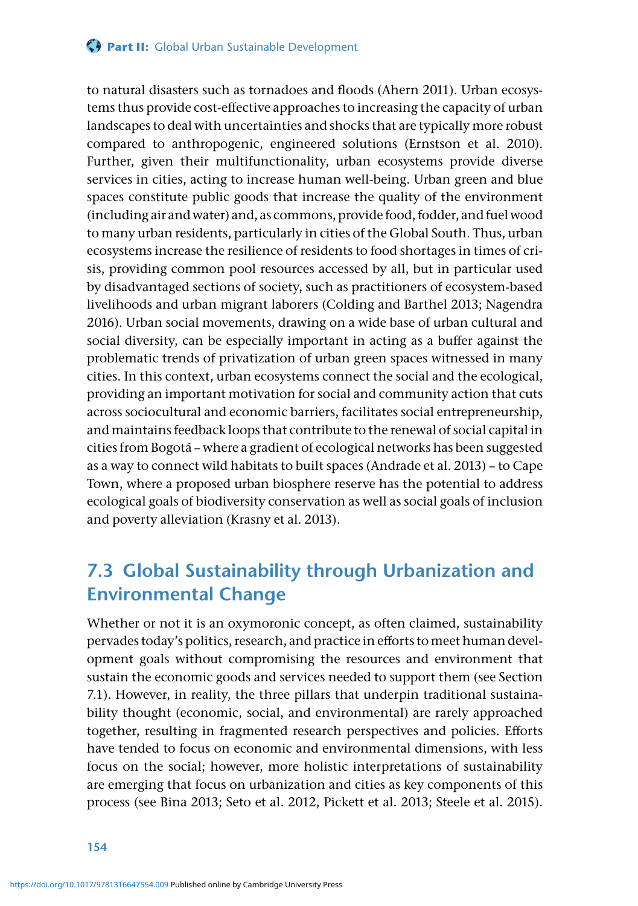#### **Part II:** Global Urban Sustainable Development

to natural disasters such as tornadoes and floods (Ahern 2011). Urban ecosystems thus provide cost-effective approaches to increasing the capacity of urban landscapes to deal with uncertainties and shocks that are typically more robust compared to anthropogenic, engineered solutions (Ernstson et al. 2010). Further, given their multifunctionality, urban ecosystems provide diverse services in cities, acting to increase human well-being. Urban green and blue spaces constitute public goods that increase the quality of the environment (including air and water) and, as commons, provide food, fodder, and fuel wood to many urban residents, particularly in cities of the Global South. Thus, urban ecosystems increase the resilience of residents to food shortages in times of crisis, providing common pool resources accessed by all, but in particular used by disadvantaged sections of society, such as practitioners of ecosystem-based livelihoods and urban migrant laborers (Colding and Barthel 2013; Nagendra 2016). Urban social movements, drawing on a wide base of urban cultural and social diversity, can be especially important in acting as a buffer against the problematic trends of privatization of urban green spaces witnessed in many cities. In this context, urban ecosystems connect the social and the ecological, providing an important motivation for social and community action that cuts across sociocultural and economic barriers, facilitates social entrepreneurship, and maintains feedback loops that contribute to the renewal of social capital in cities from Bogotá – where a gradient of ecological networks has been suggested as a way to connect wild habitats to built spaces (Andrade et al. 2013) – to Cape Town, where a proposed urban biosphere reserve has the potential to address ecological goals of biodiversity conservation as well as social goals of inclusion and poverty alleviation (Krasny et al. 2013).

### **7.3 Global Sustainability through Urbanization and Environmental Change**

Whether or not it is an oxymoronic concept, as often claimed, sustainability pervades today's politics, research, and practice in efforts to meet human development goals without compromising the resources and environment that sustain the economic goods and services needed to support them (see Section 7.1). However, in reality, the three pillars that underpin traditional sustainability thought (economic, social, and environmental) are rarely approached together, resulting in fragmented research perspectives and policies. Efforts have tended to focus on economic and environmental dimensions, with less focus on the social; however, more holistic interpretations of sustainability are emerging that focus on urbanization and cities as key components of this process (see Bina 2013; Seto et al. 2012, Pickett et al. 2013; Steele et al. 2015).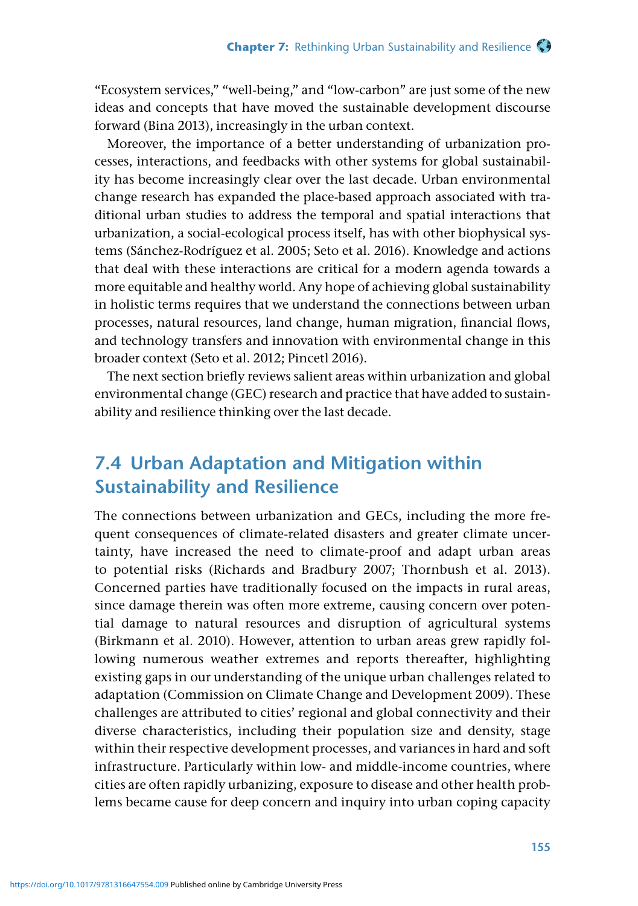"Ecosystem services," "well-being," and "low-carbon" are just some of the new ideas and concepts that have moved the sustainable development discourse forward (Bina 2013), increasingly in the urban context.

Moreover, the importance of a better understanding of urbanization processes, interactions, and feedbacks with other systems for global sustainability has become increasingly clear over the last decade. Urban environmental change research has expanded the place-based approach associated with traditional urban studies to address the temporal and spatial interactions that urbanization, a social-ecological process itself, has with other biophysical systems (Sánchez-Rodríguez et al. 2005; Seto et al. 2016). Knowledge and actions that deal with these interactions are critical for a modern agenda towards a more equitable and healthy world. Any hope of achieving global sustainability in holistic terms requires that we understand the connections between urban processes, natural resources, land change, human migration, financial flows, and technology transfers and innovation with environmental change in this broader context (Seto et al. 2012; Pincetl 2016).

The next section briefly reviews salient areas within urbanization and global environmental change (GEC) research and practice that have added to sustainability and resilience thinking over the last decade.

### **7.4 Urban Adaptation and Mitigation within Sustainability and Resilience**

The connections between urbanization and GECs, including the more frequent consequences of climate-related disasters and greater climate uncertainty, have increased the need to climate-proof and adapt urban areas to potential risks (Richards and Bradbury 2007; Thornbush et al. 2013). Concerned parties have traditionally focused on the impacts in rural areas, since damage therein was often more extreme, causing concern over potential damage to natural resources and disruption of agricultural systems (Birkmann et al. 2010). However, attention to urban areas grew rapidly following numerous weather extremes and reports thereafter, highlighting existing gaps in our understanding of the unique urban challenges related to adaptation (Commission on Climate Change and Development 2009). These challenges are attributed to cities' regional and global connectivity and their diverse characteristics, including their population size and density, stage within their respective development processes, and variances in hard and soft infrastructure. Particularly within low- and middle-income countries, where cities are often rapidly urbanizing, exposure to disease and other health problems became cause for deep concern and inquiry into urban coping capacity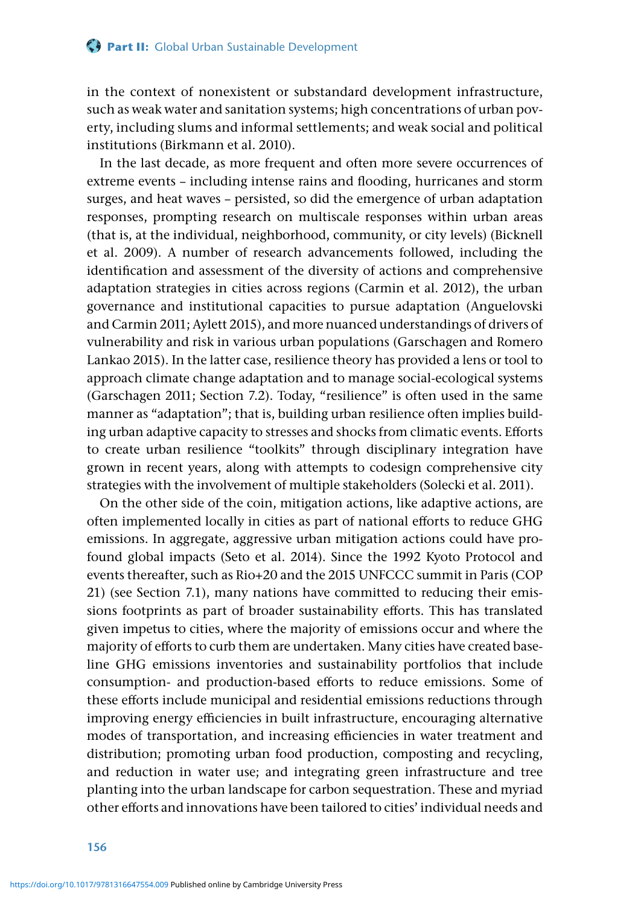in the context of nonexistent or substandard development infrastructure, such as weak water and sanitation systems; high concentrations of urban poverty, including slums and informal settlements; and weak social and political institutions (Birkmann et al. 2010).

In the last decade, as more frequent and often more severe occurrences of extreme events – including intense rains and flooding, hurricanes and storm surges, and heat waves – persisted, so did the emergence of urban adaptation responses, prompting research on multiscale responses within urban areas (that is, at the individual, neighborhood, community, or city levels) (Bicknell et al. 2009). A number of research advancements followed, including the identification and assessment of the diversity of actions and comprehensive adaptation strategies in cities across regions (Carmin et al. 2012), the urban governance and institutional capacities to pursue adaptation (Anguelovski and Carmin 2011; Aylett 2015), and more nuanced understandings of drivers of vulnerability and risk in various urban populations (Garschagen and Romero Lankao 2015). In the latter case, resilience theory has provided a lens or tool to approach climate change adaptation and to manage social-ecological systems (Garschagen 2011; Section 7.2). Today, "resilience" is often used in the same manner as "adaptation"; that is, building urban resilience often implies building urban adaptive capacity to stresses and shocks from climatic events. Efforts to create urban resilience "toolkits" through disciplinary integration have grown in recent years, along with attempts to codesign comprehensive city strategies with the involvement of multiple stakeholders (Solecki et al. 2011).

On the other side of the coin, mitigation actions, like adaptive actions, are often implemented locally in cities as part of national efforts to reduce GHG emissions. In aggregate, aggressive urban mitigation actions could have profound global impacts (Seto et al. 2014). Since the 1992 Kyoto Protocol and events thereafter, such as Rio+20 and the 2015 UNFCCC summit in Paris (COP 21) (see Section 7.1), many nations have committed to reducing their emissions footprints as part of broader sustainability efforts. This has translated given impetus to cities, where the majority of emissions occur and where the majority of efforts to curb them are undertaken. Many cities have created baseline GHG emissions inventories and sustainability portfolios that include consumption- and production-based efforts to reduce emissions. Some of these efforts include municipal and residential emissions reductions through improving energy efficiencies in built infrastructure, encouraging alternative modes of transportation, and increasing efficiencies in water treatment and distribution; promoting urban food production, composting and recycling, and reduction in water use; and integrating green infrastructure and tree planting into the urban landscape for carbon sequestration. These and myriad other efforts and innovations have been tailored to cities' individual needs and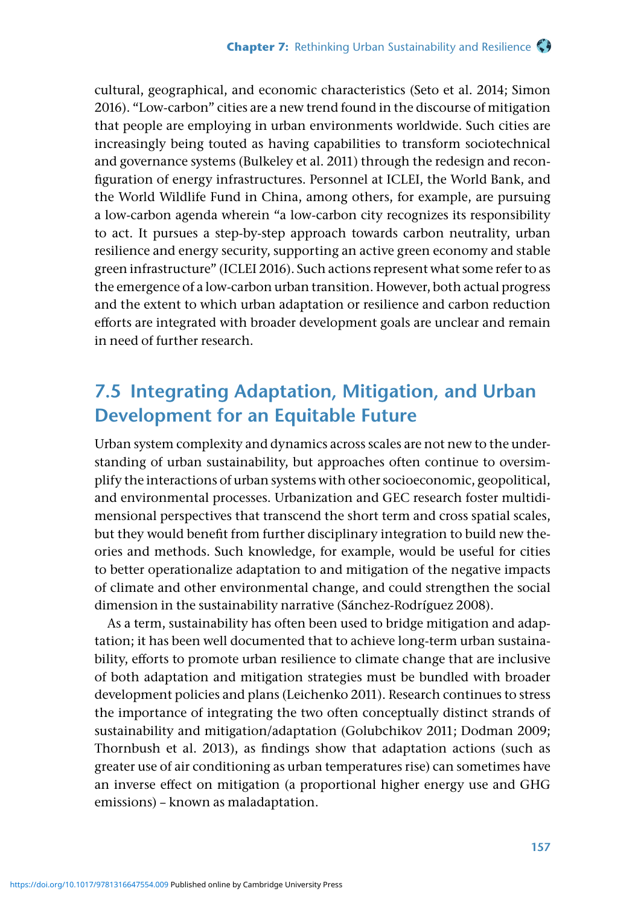cultural, geographical, and economic characteristics (Seto et al. 2014; Simon 2016). "Low-carbon" cities are a new trend found in the discourse of mitigation that people are employing in urban environments worldwide. Such cities are increasingly being touted as having capabilities to transform sociotechnical and governance systems (Bulkeley et al. 2011) through the redesign and reconfiguration of energy infrastructures. Personnel at ICLEI, the World Bank, and the World Wildlife Fund in China, among others, for example, are pursuing a low-carbon agenda wherein "a low-carbon city recognizes its responsibility to act. It pursues a step-by-step approach towards carbon neutrality, urban resilience and energy security, supporting an active green economy and stable green infrastructure" (ICLEI 2016). Such actions represent what some refer to as the emergence of a low-carbon urban transition. However, both actual progress and the extent to which urban adaptation or resilience and carbon reduction efforts are integrated with broader development goals are unclear and remain in need of further research.

## **7.5 Integrating Adaptation, Mitigation, and Urban Development for an Equitable Future**

Urban system complexity and dynamics across scales are not new to the understanding of urban sustainability, but approaches often continue to oversimplify the interactions of urban systems with other socioeconomic, geopolitical, and environmental processes. Urbanization and GEC research foster multidimensional perspectives that transcend the short term and cross spatial scales, but they would benefit from further disciplinary integration to build new theories and methods. Such knowledge, for example, would be useful for cities to better operationalize adaptation to and mitigation of the negative impacts of climate and other environmental change, and could strengthen the social dimension in the sustainability narrative (Sánchez-Rodríguez 2008).

As a term, sustainability has often been used to bridge mitigation and adaptation; it has been well documented that to achieve long-term urban sustainability, efforts to promote urban resilience to climate change that are inclusive of both adaptation and mitigation strategies must be bundled with broader development policies and plans (Leichenko 2011). Research continues to stress the importance of integrating the two often conceptually distinct strands of sustainability and mitigation/adaptation (Golubchikov 2011; Dodman 2009; Thornbush et al. 2013), as findings show that adaptation actions (such as greater use of air conditioning as urban temperatures rise) can sometimes have an inverse effect on mitigation (a proportional higher energy use and GHG emissions) – known as maladaptation.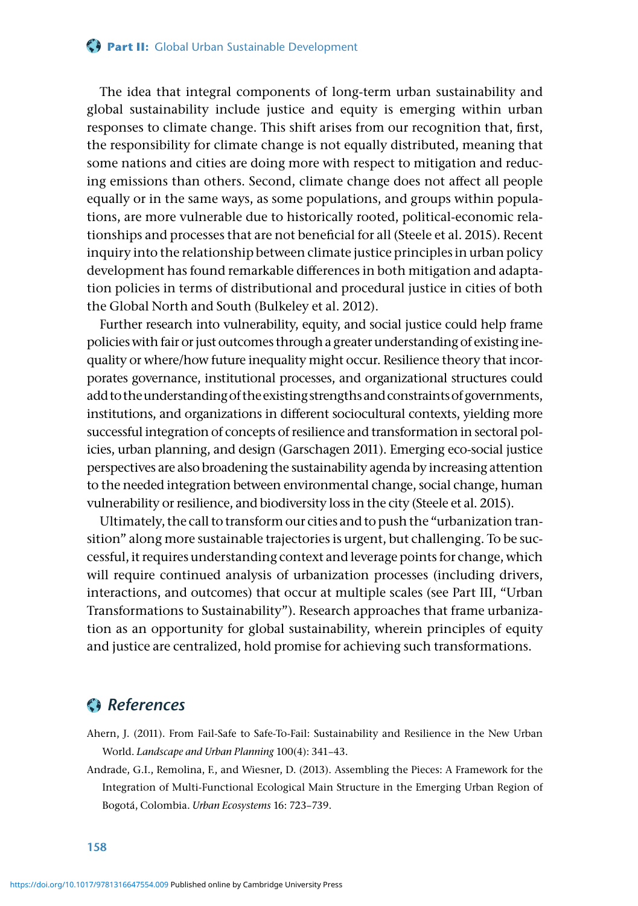The idea that integral components of long-term urban sustainability and global sustainability include justice and equity is emerging within urban responses to climate change. This shift arises from our recognition that, first, the responsibility for climate change is not equally distributed, meaning that some nations and cities are doing more with respect to mitigation and reducing emissions than others. Second, climate change does not affect all people equally or in the same ways, as some populations, and groups within populations, are more vulnerable due to historically rooted, political-economic relationships and processes that are not beneficial for all (Steele et al. 2015). Recent inquiry into the relationship between climate justice principles in urban policy development has found remarkable differences in both mitigation and adaptation policies in terms of distributional and procedural justice in cities of both the Global North and South (Bulkeley et al. 2012).

Further research into vulnerability, equity, and social justice could help frame policies with fair or just outcomes through a greater understanding of existing inequality or where/how future inequality might occur. Resilience theory that incorporates governance, institutional processes, and organizational structures could add to the understanding of the existing strengths and constraints of governments, institutions, and organizations in different sociocultural contexts, yielding more successful integration of concepts of resilience and transformation in sectoral policies, urban planning, and design (Garschagen 2011). Emerging eco-social justice perspectives are also broadening the sustainability agenda by increasing attention to the needed integration between environmental change, social change, human vulnerability or resilience, and biodiversity loss in the city (Steele et al. 2015).

Ultimately, the call to transform our cities and to push the "urbanization transition" along more sustainable trajectories is urgent, but challenging. To be successful, it requires understanding context and leverage points for change, which will require continued analysis of urbanization processes (including drivers, interactions, and outcomes) that occur at multiple scales (see Part III, "Urban Transformations to Sustainability"). Research approaches that frame urbanization as an opportunity for global sustainability, wherein principles of equity and justice are centralized, hold promise for achieving such transformations.

#### *References*

Ahern, J. (2011). From Fail-Safe to Safe-To-Fail: Sustainability and Resilience in the New Urban World. *Landscape and Urban Planning* 100(4): 341–43.

Andrade, G.I., Remolina, F., and Wiesner, D. (2013). Assembling the Pieces: A Framework for the Integration of Multi-Functional Ecological Main Structure in the Emerging Urban Region of Bogotá, Colombia. *Urban Ecosystems* 16: 723–739.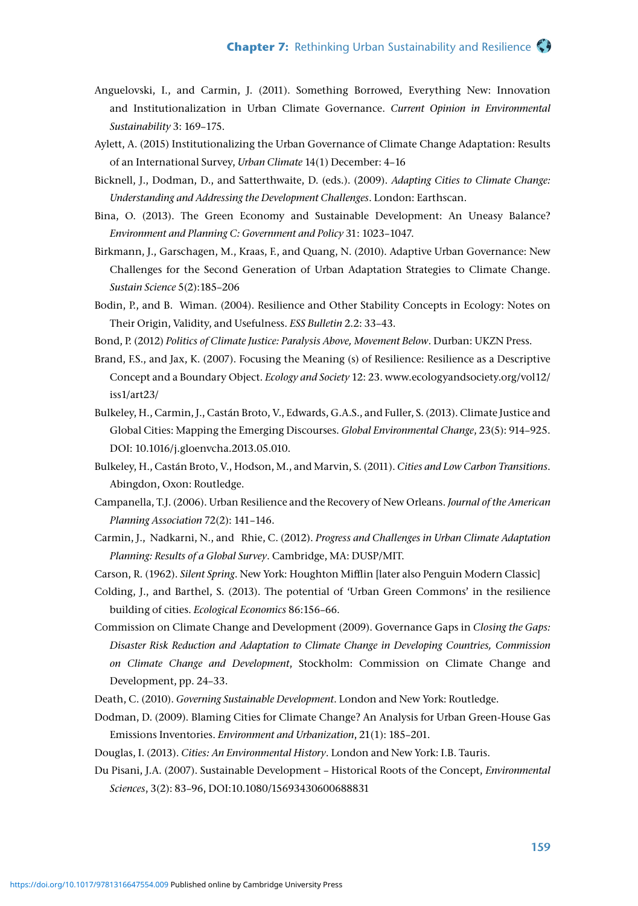- Anguelovski, I., and Carmin, J. (2011). Something Borrowed, Everything New: Innovation and Institutionalization in Urban Climate Governance. *Current Opinion in Environmental Sustainability* 3: 169–175.
- Aylett, A. (2015) Institutionalizing the Urban Governance of Climate Change Adaptation: Results of an International Survey, *Urban Climate* 14(1) December: 4–16
- Bicknell, J., Dodman, D., and Satterthwaite, D. (eds.). (2009). *Adapting Cities to Climate Change: Understanding and Addressing the Development Challenges*. London: Earthscan.
- Bina, O. (2013). The Green Economy and Sustainable Development: An Uneasy Balance? *Environment and Planning C: Government and Policy* 31: 1023–1047.
- Birkmann, J., Garschagen, M., Kraas, F., and Quang, N. (2010). Adaptive Urban Governance: New Challenges for the Second Generation of Urban Adaptation Strategies to Climate Change. *Sustain Science* 5(2):185–206
- Bodin, P., and B. Wiman. (2004). Resilience and Other Stability Concepts in Ecology: Notes on Their Origin, Validity, and Usefulness. *ESS Bulletin* 2.2: 33–43.
- Bond, P. (2012) *Politics of Climate Justice: Paralysis Above, Movement Below*. Durban: UKZN Press.
- Brand, F.S., and Jax, K. (2007). Focusing the Meaning (s) of Resilience: Resilience as a Descriptive Concept and a Boundary Object. *Ecology and Society* 12: 23. www.ecologyandsociety.org/vol12/ iss1/art23/
- Bulkeley, H., Carmin, J., Castán Broto, V., Edwards, G.A.S., and Fuller, S. (2013). Climate Justice and Global Cities: Mapping the Emerging Discourses. *Global Environmental Change*, 23(5): 914–925. DOI: 10.1016/j.gloenvcha.2013.05.010.
- Bulkeley, H., Castán Broto, V., Hodson, M., and Marvin, S. (2011). *Cities and Low Carbon Transitions*. Abingdon, Oxon: Routledge.
- Campanella, T.J. (2006). Urban Resilience and the Recovery of New Orleans. *Journal of the American Planning Association* 72(2): 141–146.
- Carmin, J., Nadkarni, N., and Rhie, C. (2012). *Progress and Challenges in Urban Climate Adaptation Planning: Results of a Global Survey*. Cambridge, MA: DUSP/MIT.
- Carson, R. (1962). *Silent Spring*. New York: Houghton Mifflin [later also Penguin Modern Classic]
- Colding, J., and Barthel, S. (2013). The potential of 'Urban Green Commons' in the resilience building of cities. *Ecological Economics* 86:156–66.
- Commission on Climate Change and Development (2009). Governance Gaps in *Closing the Gaps: Disaster Risk Reduction and Adaptation to Climate Change in Developing Countries, Commission on Climate Change and Development*, Stockholm: Commission on Climate Change and Development, pp. 24–33.
- Death, C. (2010). *Governing Sustainable Development*. London and New York: Routledge.
- Dodman, D. (2009). Blaming Cities for Climate Change? An Analysis for Urban Green-House Gas Emissions Inventories. *Environment and Urbanization*, 21(1): 185–201.
- Douglas, I. (2013). *Cities: An Environmental History*. London and New York: I.B. Tauris.
- Du Pisani, J.A. (2007). Sustainable Development Historical Roots of the Concept, *Environmental Sciences*, 3(2): 83–96, DOI:10.1080/15693430600688831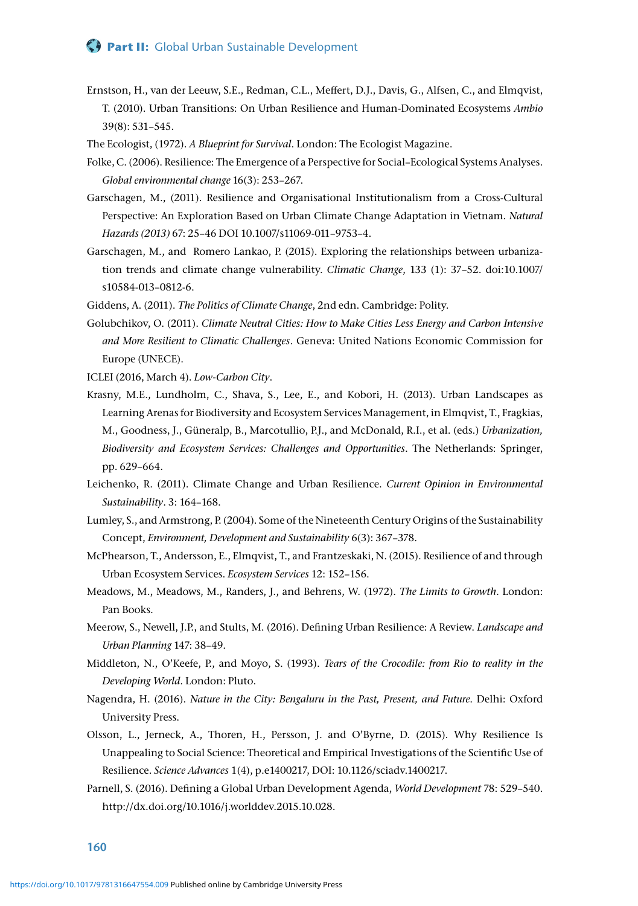#### **Part II:** Global Urban Sustainable Development

- Ernstson, H., van der Leeuw, S.E., Redman, C.L., Meffert, D.J., Davis, G., Alfsen, C., and Elmqvist, T. (2010). Urban Transitions: On Urban Resilience and Human-Dominated Ecosystems *Ambio* 39(8): 531–545.
- The Ecologist, (1972). *A Blueprint for Survival*. London: The Ecologist Magazine.
- Folke, C. (2006). Resilience: The Emergence of a Perspective for Social–Ecological Systems Analyses. *Global environmental change* 16(3): 253–267.
- Garschagen, M., (2011). Resilience and Organisational Institutionalism from a Cross-Cultural Perspective: An Exploration Based on Urban Climate Change Adaptation in Vietnam. *Natural Hazards (2013)* 67: 25–46 DOI 10.1007/s11069-011–9753–4.
- Garschagen, M., and Romero Lankao, P. (2015). Exploring the relationships between urbanization trends and climate change vulnerability. *Climatic Change*, 133 (1): 37–52. doi:10.1007/ s10584-013–0812-6.
- Giddens, A. (2011). *The Politics of Climate Change*, 2nd edn. Cambridge: Polity.
- Golubchikov, O. (2011). *Climate Neutral Cities: How to Make Cities Less Energy and Carbon Intensive and More Resilient to Climatic Challenges*. Geneva: United Nations Economic Commission for Europe (UNECE).
- ICLEI (2016, March 4). *Low-Carbon City*.
- Krasny, M.E., Lundholm, C., Shava, S., Lee, E., and Kobori, H. (2013). Urban Landscapes as Learning Arenas for Biodiversity and Ecosystem Services Management, in Elmqvist, T., Fragkias, M., Goodness, J., Güneralp, B., Marcotullio, P.J., and McDonald, R.I., et al. (eds.) *Urbanization, Biodiversity and Ecosystem Services: Challenges and Opportunities*. The Netherlands: Springer, pp. 629–664.
- Leichenko, R. (2011). Climate Change and Urban Resilience. *Current Opinion in Environmental Sustainability*. 3: 164–168.
- Lumley, S., and Armstrong, P. (2004). Some of the Nineteenth Century Origins of the Sustainability Concept, *Environment, Development and Sustainability* 6(3): 367–378.
- McPhearson, T., Andersson, E., Elmqvist, T., and Frantzeskaki, N. (2015). Resilience of and through Urban Ecosystem Services. *Ecosystem Services* 12: 152–156.
- Meadows, M., Meadows, M., Randers, J., and Behrens, W. (1972). *The Limits to Growth*. London: Pan Books.
- Meerow, S., Newell, J.P., and Stults, M. (2016). Defining Urban Resilience: A Review. *Landscape and Urban Planning* 147: 38–49.
- Middleton, N., O'Keefe, P., and Moyo, S. (1993). *Tears of the Crocodile: from Rio to reality in the Developing World*. London: Pluto.
- Nagendra, H. (2016). *Nature in the City: Bengaluru in the Past, Present, and Future*. Delhi: Oxford University Press.
- Olsson, L., Jerneck, A., Thoren, H., Persson, J. and O'Byrne, D. (2015). Why Resilience Is Unappealing to Social Science: Theoretical and Empirical Investigations of the Scientific Use of Resilience. *Science Advances* 1(4), p.e1400217, DOI: 10.1126/sciadv.1400217.
- Parnell, S. (2016). Defining a Global Urban Development Agenda, *World Development* 78: 529–540. http://dx.doi.org/10.1016/j.worlddev.2015.10.028.

**160**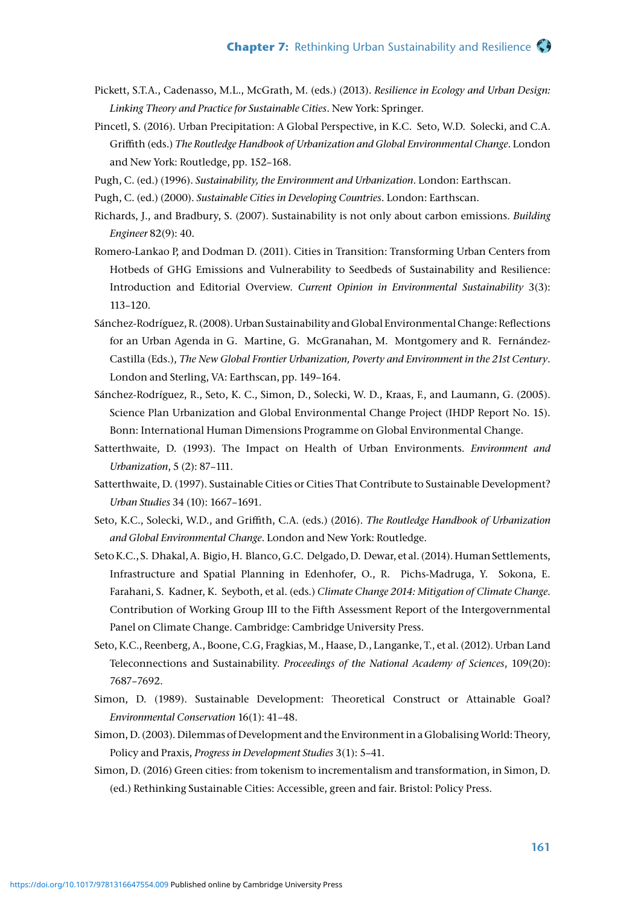- Pickett, S.T.A., Cadenasso, M.L., McGrath, M. (eds.) (2013). *Resilience in Ecology and Urban Design: Linking Theory and Practice for Sustainable Cities*. New York: Springer.
- Pincetl, S. (2016). Urban Precipitation: A Global Perspective, in K.C. Seto, W.D. Solecki, and C.A. Griffith (eds.) *The Routledge Handbook of Urbanization and Global Environmental Change*. London and New York: Routledge, pp. 152–168.
- Pugh, C. (ed.) (1996). *Sustainability, the Environment and Urbanization*. London: Earthscan.
- Pugh, C. (ed.) (2000). *Sustainable Cities in Developing Countries*. London: Earthscan.
- Richards, J., and Bradbury, S. (2007). Sustainability is not only about carbon emissions. *Building Engineer* 82(9): 40.
- Romero-Lankao P, and Dodman D. (2011). Cities in Transition: Transforming Urban Centers from Hotbeds of GHG Emissions and Vulnerability to Seedbeds of Sustainability and Resilience: Introduction and Editorial Overview. *Current Opinion in Environmental Sustainability* 3(3): 113–120.
- Sánchez-Rodríguez, R. (2008). Urban Sustainability and Global Environmental Change: Reflections for an Urban Agenda in G. Martine, G. McGranahan, M. Montgomery and R. Fernández-Castilla (Eds.), *The New Global Frontier Urbanization, Poverty and Environment in the 21st Century*. London and Sterling, VA: Earthscan, pp. 149–164.
- Sánchez-Rodríguez, R., Seto, K. C., Simon, D., Solecki, W. D., Kraas, F., and Laumann, G. (2005). Science Plan Urbanization and Global Environmental Change Project (IHDP Report No. 15). Bonn: International Human Dimensions Programme on Global Environmental Change.
- Satterthwaite, D. (1993). The Impact on Health of Urban Environments. *Environment and Urbanization*, 5 (2): 87–111.
- Satterthwaite, D. (1997). Sustainable Cities or Cities That Contribute to Sustainable Development? *Urban Studies* 34 (10): 1667–1691.
- Seto, K.C., Solecki, W.D., and Griffith, C.A. (eds.) (2016). *The Routledge Handbook of Urbanization and Global Environmental Change*. London and New York: Routledge.
- Seto K.C., S. Dhakal, A. Bigio, H. Blanco, G.C. Delgado, D. Dewar, et al. (2014). Human Settlements, Infrastructure and Spatial Planning in Edenhofer, O., R. Pichs-Madruga, Y. Sokona, E. Farahani, S. Kadner, K. Seyboth, et al. (eds.) *Climate Change 2014: Mitigation of Climate Change*. Contribution of Working Group III to the Fifth Assessment Report of the Intergovernmental Panel on Climate Change. Cambridge: Cambridge University Press.
- Seto, K.C., Reenberg, A., Boone, C.G, Fragkias, M., Haase, D., Langanke, T., et al. (2012). Urban Land Teleconnections and Sustainability. *Proceedings of the National Academy of Sciences*, 109(20): 7687–7692.
- Simon, D. (1989). Sustainable Development: Theoretical Construct or Attainable Goal? *Environmental Conservation* 16(1): 41–48.
- Simon, D. (2003). Dilemmas of Development and the Environment in a Globalising World: Theory, Policy and Praxis, *Progress in Development Studies* 3(1): 5–41.
- Simon, D. (2016) Green cities: from tokenism to incrementalism and transformation, in Simon, D. (ed.) Rethinking Sustainable Cities: Accessible, green and fair. Bristol: Policy Press.